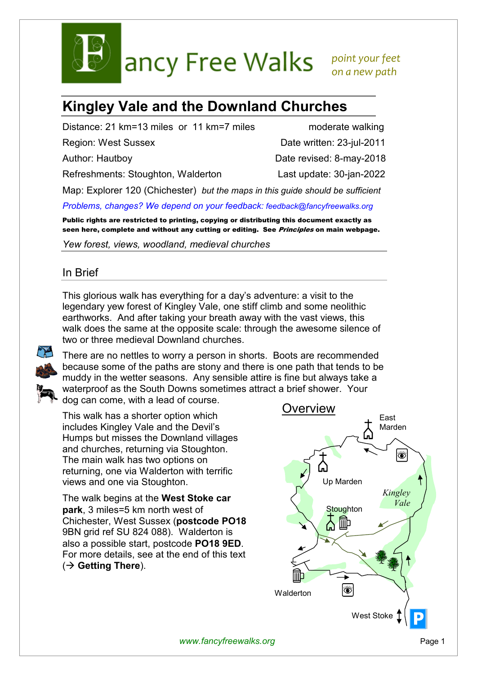

ancy Free Walks point your feet

 *on a new path* 

# **Kingley Vale and the Downland Churches**

Distance: 21 km=13 miles or 11 km=7 miles moderate walking

Refreshments: Stoughton, Walderton Last update: 30-jan-2022

Region: West Sussex Date written: 23-jul-2011

Author: Hautboy **Date revised: 8-may-2018** 

Map: Explorer 120 (Chichester) *but the maps in this guide should be sufficient*

*Problems, changes? We depend on your feedback: feedback@fancyfreewalks.org*

Public rights are restricted to printing, copying or distributing this document exactly as seen here, complete and without any cutting or editing. See Principles on main webpage.

*Yew forest, views, woodland, medieval churches* 

## In Brief

This glorious walk has everything for a day's adventure: a visit to the legendary yew forest of Kingley Vale, one stiff climb and some neolithic earthworks. And after taking your breath away with the vast views, this walk does the same at the opposite scale: through the awesome silence of two or three medieval Downland churches.



There are no nettles to worry a person in shorts. Boots are recommended because some of the paths are stony and there is one path that tends to be muddy in the wetter seasons. Any sensible attire is fine but always take a waterproof as the South Downs sometimes attract a brief shower. Your dog can come, with a lead of course.

This walk has a shorter option which includes Kingley Vale and the Devil's Humps but misses the Downland villages and churches, returning via Stoughton. The main walk has two options on returning, one via Walderton with terrific views and one via Stoughton.

The walk begins at the **West Stoke car park**, 3 miles=5 km north west of Chichester, West Sussex (**postcode PO18** 9BN grid ref SU 824 088). Walderton is also a possible start, postcode **PO18 9ED**. For more details, see at the end of this text ( **Getting There**).



*www.fancyfreewalks.org* Page 1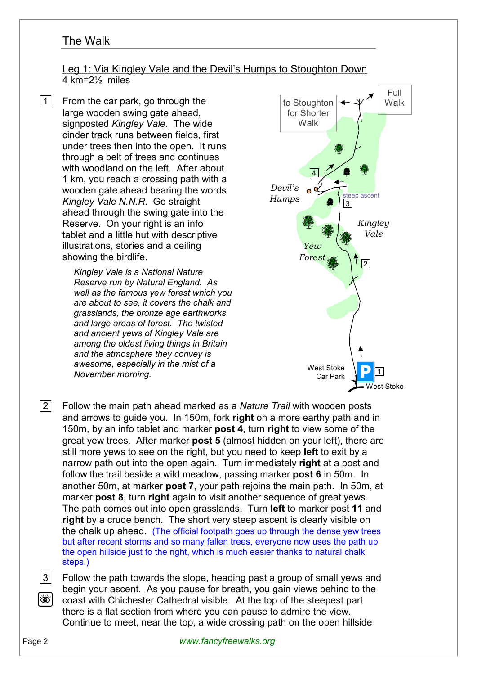## The Walk

### Leg 1: Via Kingley Vale and the Devil's Humps to Stoughton Down 4 km=2½ miles

1 From the car park, go through the large wooden swing gate ahead, signposted *Kingley Vale*. The wide cinder track runs between fields, first under trees then into the open. It runs through a belt of trees and continues with woodland on the left. After about 1 km, you reach a crossing path with a wooden gate ahead bearing the words *Kingley Vale N.N.R*. Go straight ahead through the swing gate into the Reserve. On your right is an info tablet and a little hut with descriptive illustrations, stories and a ceiling showing the birdlife.

> *Kingley Vale is a National Nature Reserve run by Natural England. As well as the famous yew forest which you are about to see, it covers the chalk and grasslands, the bronze age earthworks and large areas of forest. The twisted and ancient yews of Kingley Vale are among the oldest living things in Britain and the atmosphere they convey is awesome, especially in the mist of a November morning.*



- 2 Follow the main path ahead marked as a *Nature Trail* with wooden posts and arrows to guide you. In 150m, fork **right** on a more earthy path and in 150m, by an info tablet and marker **post 4**, turn **right** to view some of the great yew trees. After marker **post 5** (almost hidden on your left), there are still more yews to see on the right, but you need to keep **left** to exit by a narrow path out into the open again. Turn immediately **right** at a post and follow the trail beside a wild meadow, passing marker **post 6** in 50m. In another 50m, at marker **post 7**, your path rejoins the main path. In 50m, at marker **post 8**, turn **right** again to visit another sequence of great yews. The path comes out into open grasslands. Turn **left** to marker post **11** and **right** by a crude bench. The short very steep ascent is clearly visible on the chalk up ahead. (The official footpath goes up through the dense yew trees but after recent storms and so many fallen trees, everyone now uses the path up the open hillside just to the right, which is much easier thanks to natural chalk steps.)
- 3 Follow the path towards the slope, heading past a group of small yews and begin your ascent. As you pause for breath, you gain views behind to the Ò coast with Chichester Cathedral visible. At the top of the steepest part there is a flat section from where you can pause to admire the view. Continue to meet, near the top, a wide crossing path on the open hillside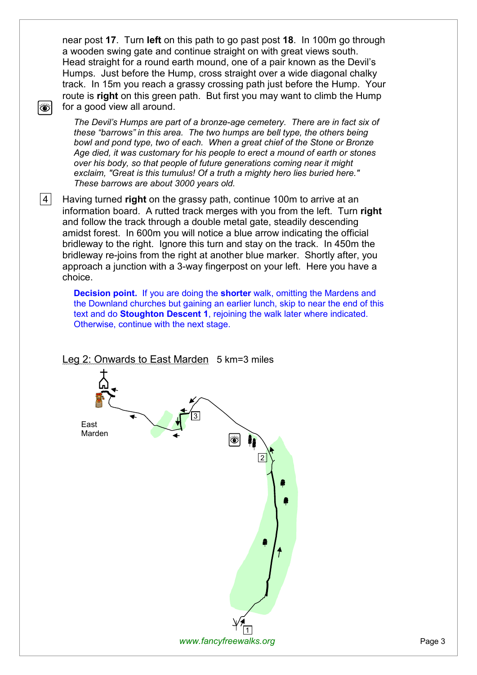near post **17**. Turn **left** on this path to go past post **18**. In 100m go through a wooden swing gate and continue straight on with great views south. Head straight for a round earth mound, one of a pair known as the Devil's Humps. Just before the Hump, cross straight over a wide diagonal chalky track. In 15m you reach a grassy crossing path just before the Hump. Your route is **right** on this green path. But first you may want to climb the Hump for a good view all around.

*The Devil's Humps are part of a bronze-age cemetery. There are in fact six of these "barrows" in this area. The two humps are bell type, the others being bowl and pond type, two of each. When a great chief of the Stone or Bronze Age died, it was customary for his people to erect a mound of earth or stones over his body, so that people of future generations coming near it might exclaim, "Great is this tumulus! Of a truth a mighty hero lies buried here." These barrows are about 3000 years old.* 

 4 Having turned **right** on the grassy path, continue 100m to arrive at an information board. A rutted track merges with you from the left. Turn **right** and follow the track through a double metal gate, steadily descending amidst forest. In 600m you will notice a blue arrow indicating the official bridleway to the right. Ignore this turn and stay on the track. In 450m the bridleway re-joins from the right at another blue marker. Shortly after, you approach a junction with a 3-way fingerpost on your left. Here you have a choice.

**Decision point.** If you are doing the **shorter** walk, omitting the Mardens and the Downland churches but gaining an earlier lunch, skip to near the end of this text and do **Stoughton Descent 1**, rejoining the walk later where indicated. Otherwise, continue with the next stage.



#### Leg 2: Onwards to East Marden 5 km=3 miles

Ö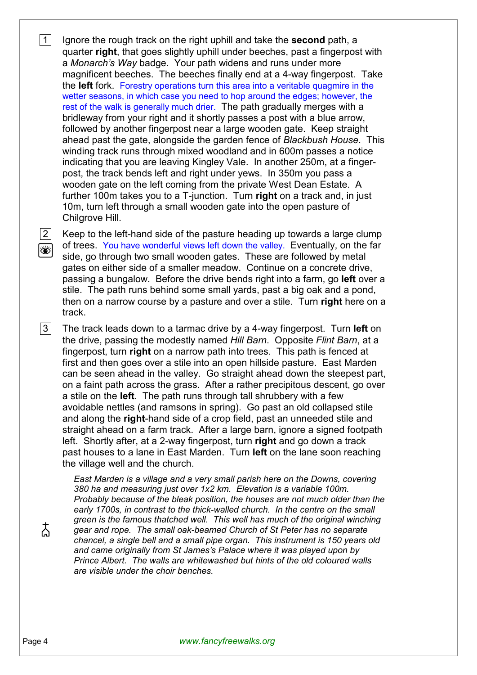**1** Ignore the rough track on the right uphill and take the **second** path, a quarter **right**, that goes slightly uphill under beeches, past a fingerpost with a *Monarch's Way* badge. Your path widens and runs under more magnificent beeches. The beeches finally end at a 4-way fingerpost. Take the **left** fork. Forestry operations turn this area into a veritable quagmire in the wetter seasons, in which case you need to hop around the edges; however, the rest of the walk is generally much drier. The path gradually merges with a bridleway from your right and it shortly passes a post with a blue arrow, followed by another fingerpost near a large wooden gate. Keep straight ahead past the gate, alongside the garden fence of *Blackbush House*. This winding track runs through mixed woodland and in 600m passes a notice indicating that you are leaving Kingley Vale. In another 250m, at a fingerpost, the track bends left and right under yews. In 350m you pass a wooden gate on the left coming from the private West Dean Estate. A further 100m takes you to a T-junction. Turn **right** on a track and, in just 10m, turn left through a small wooden gate into the open pasture of Chilgrove Hill.

2 Keep to the left-hand side of the pasture heading up towards a large clump of trees. You have wonderful views left down the valley. Eventually, on the far side, go through two small wooden gates. These are followed by metal gates on either side of a smaller meadow. Continue on a concrete drive, passing a bungalow. Before the drive bends right into a farm, go **left** over a stile. The path runs behind some small yards, past a big oak and a pond, then on a narrow course by a pasture and over a stile. Turn **right** here on a track.

 3 The track leads down to a tarmac drive by a 4-way fingerpost. Turn **left** on the drive, passing the modestly named *Hill Barn*. Opposite *Flint Barn*, at a fingerpost, turn **right** on a narrow path into trees. This path is fenced at first and then goes over a stile into an open hillside pasture. East Marden can be seen ahead in the valley. Go straight ahead down the steepest part, on a faint path across the grass. After a rather precipitous descent, go over a stile on the **left**. The path runs through tall shrubbery with a few avoidable nettles (and ramsons in spring). Go past an old collapsed stile and along the **right**-hand side of a crop field, past an unneeded stile and straight ahead on a farm track. After a large barn, ignore a signed footpath left. Shortly after, at a 2-way fingerpost, turn **right** and go down a track past houses to a lane in East Marden. Turn **left** on the lane soon reaching the village well and the church.

*East Marden is a village and a very small parish here on the Downs, covering 380 ha and measuring just over 1x2 km. Elevation is a variable 100m. Probably because of the bleak position, the houses are not much older than the early 1700s, in contrast to the thick-walled church. In the centre on the small green is the famous thatched well. This well has much of the original winching gear and rope. The small oak-beamed Church of St Peter has no separate chancel, a single bell and a small pipe organ. This instrument is 150 years old and came originally from St James's Palace where it was played upon by Prince Albert. The walls are whitewashed but hints of the old coloured walls are visible under the choir benches.* 

太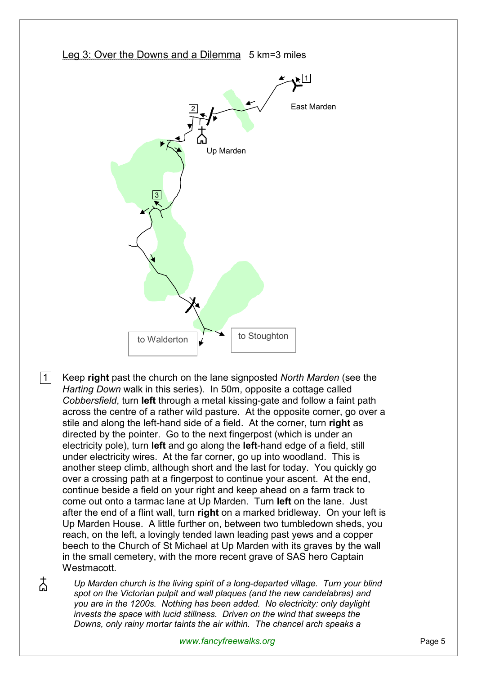

 1 Keep **right** past the church on the lane signposted *North Marden* (see the *Harting Down* walk in this series). In 50m, opposite a cottage called *Cobbersfield*, turn **left** through a metal kissing-gate and follow a faint path across the centre of a rather wild pasture. At the opposite corner, go over a stile and along the left-hand side of a field. At the corner, turn **right** as directed by the pointer. Go to the next fingerpost (which is under an electricity pole), turn **left** and go along the **left**-hand edge of a field, still under electricity wires. At the far corner, go up into woodland. This is another steep climb, although short and the last for today. You quickly go over a crossing path at a fingerpost to continue your ascent. At the end, continue beside a field on your right and keep ahead on a farm track to come out onto a tarmac lane at Up Marden. Turn **left** on the lane. Just after the end of a flint wall, turn **right** on a marked bridleway. On your left is Up Marden House. A little further on, between two tumbledown sheds, you reach, on the left, a lovingly tended lawn leading past yews and a copper beech to the Church of St Michael at Up Marden with its graves by the wall in the small cemetery, with the more recent grave of SAS hero Captain Westmacott.

太

*Up Marden church is the living spirit of a long-departed village. Turn your blind spot on the Victorian pulpit and wall plaques (and the new candelabras) and you are in the 1200s. Nothing has been added. No electricity: only daylight invests the space with lucid stillness. Driven on the wind that sweeps the Downs, only rainy mortar taints the air within. The chancel arch speaks a*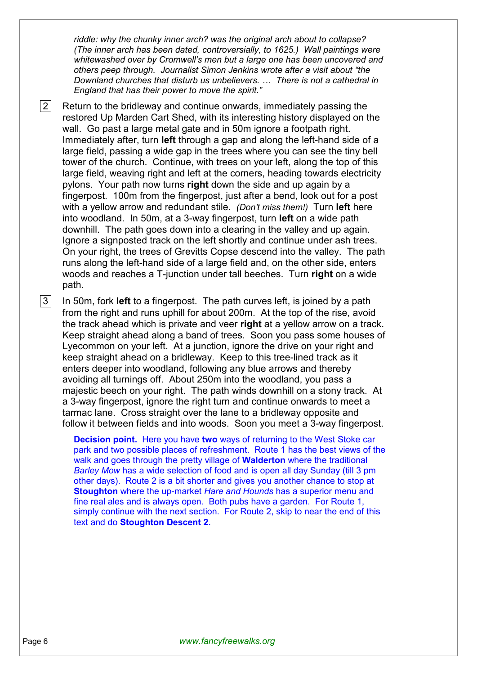*riddle: why the chunky inner arch? was the original arch about to collapse? (The inner arch has been dated, controversially, to 1625.) Wall paintings were whitewashed over by Cromwell's men but a large one has been uncovered and others peep through. Journalist Simon Jenkins wrote after a visit about "the Downland churches that disturb us unbelievers. … There is not a cathedral in England that has their power to move the spirit."* 

 $|2|$  Return to the bridleway and continue onwards, immediately passing the restored Up Marden Cart Shed, with its interesting history displayed on the wall. Go past a large metal gate and in 50m ignore a footpath right. Immediately after, turn **left** through a gap and along the left-hand side of a large field, passing a wide gap in the trees where you can see the tiny bell tower of the church. Continue, with trees on your left, along the top of this large field, weaving right and left at the corners, heading towards electricity pylons. Your path now turns **right** down the side and up again by a fingerpost. 100m from the fingerpost, just after a bend, look out for a post with a yellow arrow and redundant stile. *(Don't miss them!)* Turn **left** here into woodland. In 50m, at a 3-way fingerpost, turn **left** on a wide path downhill. The path goes down into a clearing in the valley and up again. Ignore a signposted track on the left shortly and continue under ash trees. On your right, the trees of Grevitts Copse descend into the valley. The path runs along the left-hand side of a large field and, on the other side, enters woods and reaches a T-junction under tall beeches. Turn **right** on a wide path.

 3 In 50m, fork **left** to a fingerpost. The path curves left, is joined by a path from the right and runs uphill for about 200m. At the top of the rise, avoid the track ahead which is private and veer **right** at a yellow arrow on a track. Keep straight ahead along a band of trees. Soon you pass some houses of Lyecommon on your left. At a junction, ignore the drive on your right and keep straight ahead on a bridleway. Keep to this tree-lined track as it enters deeper into woodland, following any blue arrows and thereby avoiding all turnings off. About 250m into the woodland, you pass a majestic beech on your right. The path winds downhill on a stony track. At a 3-way fingerpost, ignore the right turn and continue onwards to meet a tarmac lane. Cross straight over the lane to a bridleway opposite and follow it between fields and into woods. Soon you meet a 3-way fingerpost.

**Decision point.** Here you have **two** ways of returning to the West Stoke car park and two possible places of refreshment. Route 1 has the best views of the walk and goes through the pretty village of **Walderton** where the traditional *Barley Mow* has a wide selection of food and is open all day Sunday (till 3 pm other days). Route 2 is a bit shorter and gives you another chance to stop at **Stoughton** where the up-market *Hare and Hounds* has a superior menu and fine real ales and is always open. Both pubs have a garden. For Route 1, simply continue with the next section. For Route 2, skip to near the end of this text and do **Stoughton Descent 2**.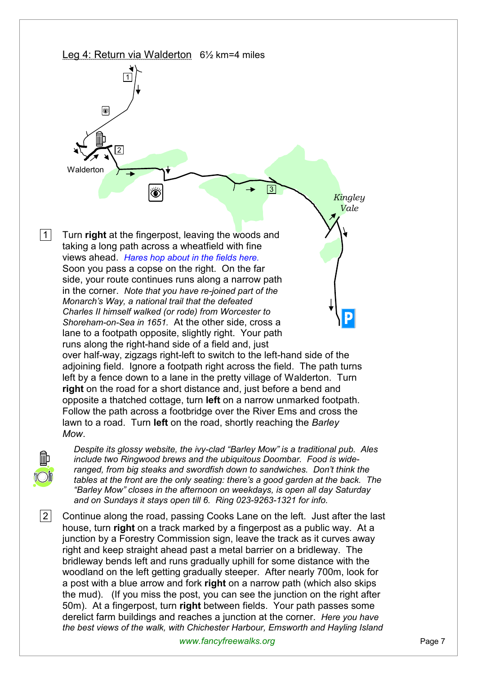

 2 Continue along the road, passing Cooks Lane on the left. Just after the last house, turn **right** on a track marked by a fingerpost as a public way. At a junction by a Forestry Commission sign, leave the track as it curves away right and keep straight ahead past a metal barrier on a bridleway. The bridleway bends left and runs gradually uphill for some distance with the woodland on the left getting gradually steeper. After nearly 700m, look for a post with a blue arrow and fork **right** on a narrow path (which also skips the mud). (If you miss the post, you can see the junction on the right after 50m). At a fingerpost, turn **right** between fields. Your path passes some derelict farm buildings and reaches a junction at the corner. *Here you have the best views of the walk, with Chichester Harbour, Emsworth and Hayling Island*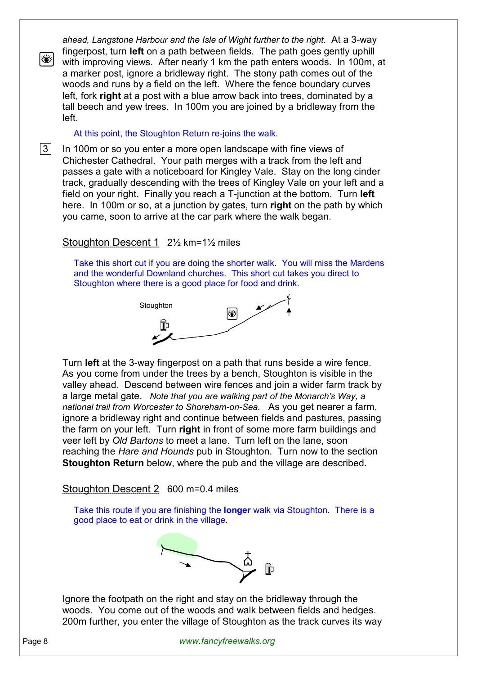*ahead, Langstone Harbour and the Isle of Wight further to the right.* At a 3-way fingerpost, turn **left** on a path between fields. The path goes gently uphill with improving views. After nearly 1 km the path enters woods. In 100m, at a marker post, ignore a bridleway right. The stony path comes out of the woods and runs by a field on the left. Where the fence boundary curves left, fork **right** at a post with a blue arrow back into trees, dominated by a tall beech and yew trees. In 100m you are joined by a bridleway from the left.

At this point, the Stoughton Return re-joins the walk.

**3** In 100m or so you enter a more open landscape with fine views of Chichester Cathedral. Your path merges with a track from the left and passes a gate with a noticeboard for Kingley Vale. Stay on the long cinder track, gradually descending with the trees of Kingley Vale on your left and a field on your right. Finally you reach a T-junction at the bottom. Turn **left** here. In 100m or so, at a junction by gates, turn **right** on the path by which you came, soon to arrive at the car park where the walk began.

## Stoughton Descent 1 2½ km=1½ miles

Take this short cut if you are doing the shorter walk. You will miss the Mardens and the wonderful Downland churches. This short cut takes you direct to Stoughton where there is a good place for food and drink.



Turn **left** at the 3-way fingerpost on a path that runs beside a wire fence. As you come from under the trees by a bench, Stoughton is visible in the valley ahead. Descend between wire fences and join a wider farm track by a large metal gate. *Note that you are walking part of the Monarch's Way, a national trail from Worcester to Shoreham-on-Sea.* As you get nearer a farm, ignore a bridleway right and continue between fields and pastures, passing the farm on your left. Turn **right** in front of some more farm buildings and veer left by *Old Bartons* to meet a lane. Turn left on the lane, soon reaching the *Hare and Hounds* pub in Stoughton. Turn now to the section **Stoughton Return** below, where the pub and the village are described.

Stoughton Descent 2 600 m=0.4 miles

Take this route if you are finishing the **longer** walk via Stoughton. There is a good place to eat or drink in the village.



Ignore the footpath on the right and stay on the bridleway through the woods. You come out of the woods and walk between fields and hedges. 200m further, you enter the village of Stoughton as the track curves its way

o |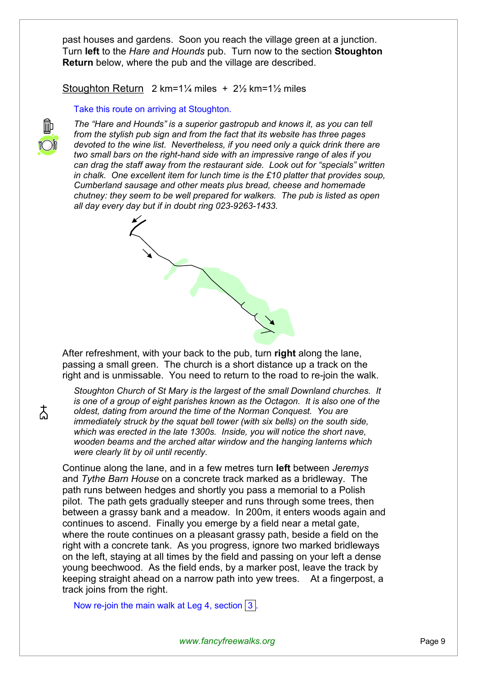past houses and gardens. Soon you reach the village green at a junction. Turn **left** to the *Hare and Hounds* pub. Turn now to the section **Stoughton Return** below, where the pub and the village are described.

Stoughton Return 2 km=1¼ miles + 2½ km=1½ miles

#### Take this route on arriving at Stoughton.



*The "Hare and Hounds" is a superior gastropub and knows it, as you can tell from the stylish pub sign and from the fact that its website has three pages devoted to the wine list. Nevertheless, if you need only a quick drink there are two small bars on the right-hand side with an impressive range of ales if you can drag the staff away from the restaurant side. Look out for "specials" written in chalk. One excellent item for lunch time is the £10 platter that provides soup, Cumberland sausage and other meats plus bread, cheese and homemade chutney: they seem to be well prepared for walkers. The pub is listed as open all day every day but if in doubt ring 023-9263-1433.* 



After refreshment, with your back to the pub, turn **right** along the lane, passing a small green. The church is a short distance up a track on the right and is unmissable. You need to return to the road to re-join the walk.

*Stoughton Church of St Mary is the largest of the small Downland churches. It is one of a group of eight parishes known as the Octagon. It is also one of the oldest, dating from around the time of the Norman Conquest. You are immediately struck by the squat bell tower (with six bells) on the south side, which was erected in the late 1300s. Inside, you will notice the short nave, wooden beams and the arched altar window and the hanging lanterns which were clearly lit by oil until recently.* 

Continue along the lane, and in a few metres turn **left** between *Jeremys* and *Tythe Barn House* on a concrete track marked as a bridleway. The path runs between hedges and shortly you pass a memorial to a Polish pilot. The path gets gradually steeper and runs through some trees, then between a grassy bank and a meadow. In 200m, it enters woods again and continues to ascend. Finally you emerge by a field near a metal gate, where the route continues on a pleasant grassy path, beside a field on the right with a concrete tank. As you progress, ignore two marked bridleways on the left, staying at all times by the field and passing on your left a dense young beechwood. As the field ends, by a marker post, leave the track by keeping straight ahead on a narrow path into yew trees. At a fingerpost, a track joins from the right.

Now re-join the main walk at Leg 4, section  $|3|$ .